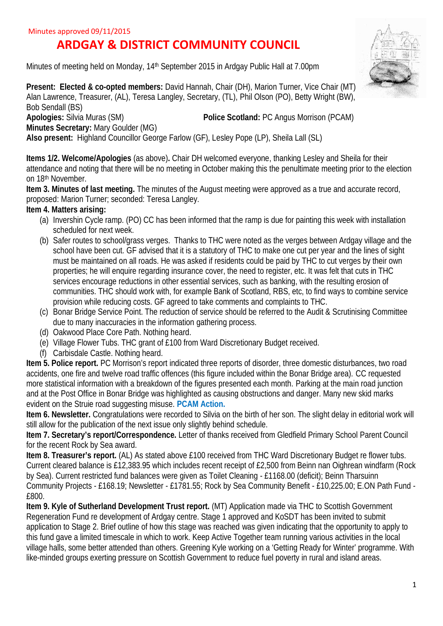# **ARDGAY & DISTRICT COMMUNITY COUNCIL**

Minutes of meeting held on Monday, 14th September 2015 in Ardgay Public Hall at 7.00pm

**Present: Elected & co-opted members: David Hannah, Chair (DH), Marion Turner, Vice Chair (MT)** Alan Lawrence, Treasurer, (AL), Teresa Langley, Secretary, (TL), Phil Olson (PO), Betty Wright (BW), Bob Sendall (BS)<br>**Apologies:** Silvia Muras (SM) **Police Scotland: PC Angus Morrison (PCAM)** 

**Minutes Secretary:** Mary Goulder (MG) **Also present:** Highland Councillor George Farlow (GF), Lesley Pope (LP), Sheila Lall (SL)

**Items 1/2. Welcome/Apologies** (as above)**.** Chair DH welcomed everyone, thanking Lesley and Sheila for their attendance and noting that there will be no meeting in October making this the penultimate meeting prior to the election on 18th November.

**Item 3. Minutes of last meeting.** The minutes of the August meeting were approved as a true and accurate record, proposed: Marion Turner; seconded: Teresa Langley.

## **Item 4. Matters arising:**

- (a) Invershin Cycle ramp. (PO) CC has been informed that the ramp is due for painting this week with installation scheduled for next week.
- (b) Safer routes to school/grass verges. Thanks to THC were noted as the verges between Ardgay village and the school have been cut. GF advised that it is a statutory of THC to make one cut per year and the lines of sight must be maintained on all roads. He was asked if residents could be paid by THC to cut verges by their own properties; he will enquire regarding insurance cover, the need to register, etc. It was felt that cuts in THC services encourage reductions in other essential services, such as banking, with the resulting erosion of communities. THC should work with, for example Bank of Scotland, RBS, etc, to find ways to combine service provision while reducing costs. GF agreed to take comments and complaints to THC.
- (c) Bonar Bridge Service Point. The reduction of service should be referred to the Audit & Scrutinising Committee due to many inaccuracies in the information gathering process.
- (d) Oakwood Place Core Path. Nothing heard.
- (e) Village Flower Tubs. THC grant of £100 from Ward Discretionary Budget received.
- (f) Carbisdale Castle. Nothing heard.

**Item 5. Police report.** PC Morrison's report indicated three reports of disorder, three domestic disturbances, two road accidents, one fire and twelve road traffic offences (this figure included within the Bonar Bridge area). CC requested more statistical information with a breakdown of the figures presented each month. Parking at the main road junction and at the Post Office in Bonar Bridge was highlighted as causing obstructions and danger. Many new skid marks evident on the Struie road suggesting misuse. **PCAM Action.**

**Item 6. Newsletter.** Congratulations were recorded to Silvia on the birth of her son. The slight delay in editorial work will still allow for the publication of the next issue only slightly behind schedule.

**Item 7. Secretary's report/Correspondence.** Letter of thanks received from Gledfield Primary School Parent Council for the recent Rock by Sea award.

**Item 8. Treasurer's report.** (AL) As stated above £100 received from THC Ward Discretionary Budget re flower tubs. Current cleared balance is £12,383.95 which includes recent receipt of £2,500 from Beinn nan Oighrean windfarm (Rock by Sea). Current restricted fund balances were given as Toilet Cleaning - £1168.00 (deficit); Beinn Tharsuinn Community Projects - £168.19; Newsletter - £1781.55; Rock by Sea Community Benefit - £10,225.00; E.ON Path Fund - £800.

**Item 9. Kyle of Sutherland Development Trust report.** (MT) Application made via THC to Scottish Government Regeneration Fund re development of Ardgay centre. Stage 1 approved and KoSDT has been invited to submit application to Stage 2. Brief outline of how this stage was reached was given indicating that the opportunity to apply to this fund gave a limited timescale in which to work. Keep Active Together team running various activities in the local village halls, some better attended than others. Greening Kyle working on a 'Getting Ready for Winter' programme. With like-minded groups exerting pressure on Scottish Government to reduce fuel poverty in rural and island areas.

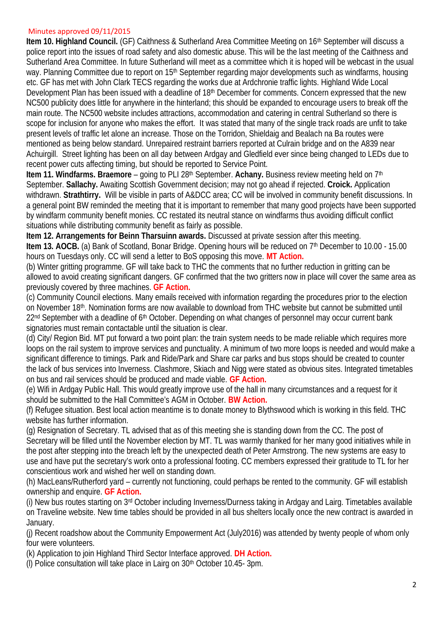### Minutes approved 09/11/2015

**Item 10. Highland Council.** (GF) Caithness & Sutherland Area Committee Meeting on 16th September will discuss a police report into the issues of road safety and also domestic abuse. This will be the last meeting of the Caithness and Sutherland Area Committee. In future Sutherland will meet as a committee which it is hoped will be webcast in the usual way. Planning Committee due to report on 15<sup>th</sup> September regarding major developments such as windfarms, housing etc. GF has met with John Clark TECS regarding the works due at Ardchronie traffic lights. Highland Wide Local Development Plan has been issued with a deadline of 18th December for comments. Concern expressed that the new NC500 publicity does little for anywhere in the hinterland; this should be expanded to encourage users to break off the main route. The NC500 website includes attractions, accommodation and catering in central Sutherland so there is scope for inclusion for anyone who makes the effort. It was stated that many of the single track roads are unfit to take present levels of traffic let alone an increase. Those on the Torridon, Shieldaig and Bealach na Ba routes were mentioned as being below standard. Unrepaired restraint barriers reported at Culrain bridge and on the A839 near Achuirgill. Street lighting has been on all day between Ardgay and Gledfield ever since being changed to LEDs due to recent power cuts affecting timing, but should be reported to Service Point.

**Item 11. Windfarms. Braemore** – going to PLI 28<sup>th</sup> September. **Achany.** Business review meeting held on 7<sup>th</sup> September. **Sallachy.** Awaiting Scottish Government decision; may not go ahead if rejected. **Croick.** Application withdrawn. **Strathtirry.** Will be visible in parts of A&DCC area; CC will be involved in community benefit discussions. In a general point BW reminded the meeting that it is important to remember that many good projects have been supported by windfarm community benefit monies. CC restated its neutral stance on windfarms thus avoiding difficult conflict situations while distributing community benefit as fairly as possible.

**Item 12. Arrangements for Beinn Tharsuinn awards.** Discussed at private session after this meeting. **Item 13. AOCB.** (a) Bank of Scotland, Bonar Bridge. Opening hours will be reduced on 7<sup>th</sup> December to 10.00 - 15.00 hours on Tuesdays only. CC will send a letter to BoS opposing this move. **MT Action.**

(b) Winter gritting programme. GF will take back to THC the comments that no further reduction in gritting can be allowed to avoid creating significant dangers. GF confirmed that the two gritters now in place will cover the same area as previously covered by three machines. **GF Action.**

(c) Community Council elections. Many emails received with information regarding the procedures prior to the election on November 18th. Nomination forms are now available to download from THC website but cannot be submitted until 22<sup>nd</sup> September with a deadline of 6<sup>th</sup> October. Depending on what changes of personnel may occur current bank signatories must remain contactable until the situation is clear.

(d) City/ Region Bid. MT put forward a two point plan: the train system needs to be made reliable which requires more loops on the rail system to improve services and punctuality. A minimum of two more loops is needed and would make a significant difference to timings. Park and Ride/Park and Share car parks and bus stops should be created to counter the lack of bus services into Inverness. Clashmore, Skiach and Nigg were stated as obvious sites. Integrated timetables on bus and rail services should be produced and made viable. **GF Action.**

(e) Wifi in Ardgay Public Hall. This would greatly improve use of the hall in many circumstances and a request for it should be submitted to the Hall Committee's AGM in October. **BW Action.**

(f) Refugee situation. Best local action meantime is to donate money to Blythswood which is working in this field. THC website has further information.

(g) Resignation of Secretary. TL advised that as of this meeting she is standing down from the CC. The post of Secretary will be filled until the November election by MT. TL was warmly thanked for her many good initiatives while in the post after stepping into the breach left by the unexpected death of Peter Armstrong. The new systems are easy to use and have put the secretary's work onto a professional footing. CC members expressed their gratitude to TL for her conscientious work and wished her well on standing down.

(h) MacLeans/Rutherford yard – currently not functioning, could perhaps be rented to the community. GF will establish ownership and enquire. **GF Action.**

(i) New bus routes starting on 3rd October including Inverness/Durness taking in Ardgay and Lairg. Timetables available on Traveline website. New time tables should be provided in all bus shelters locally once the new contract is awarded in January.

(j) Recent roadshow about the Community Empowerment Act (July2016) was attended by twenty people of whom only four were volunteers.

(k) Application to join Highland Third Sector Interface approved. **DH Action.**

(l) Police consultation will take place in Lairg on 30th October 10.45- 3pm.